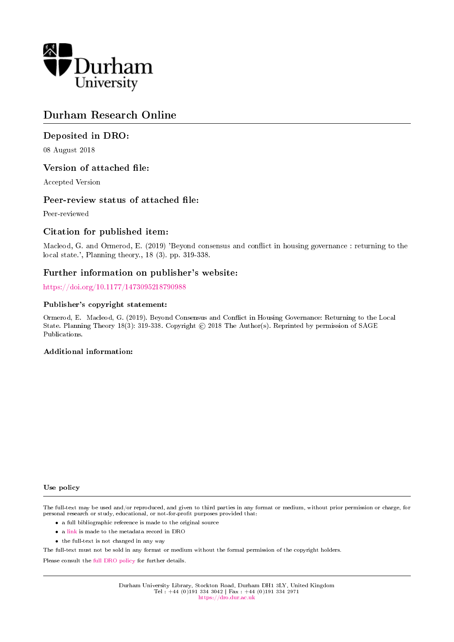

# Durham Research Online

## Deposited in DRO:

08 August 2018

### Version of attached file:

Accepted Version

### Peer-review status of attached file:

Peer-reviewed

### Citation for published item:

Macleod, G. and Ormerod, E. (2019) 'Beyond consensus and conflict in housing governance : returning to the local state.', Planning theory., 18 (3). pp. 319-338.

### Further information on publisher's website:

<https://doi.org/10.1177/1473095218790988>

### Publisher's copyright statement:

Ormerod, E. Macleod, G. (2019). Beyond Consensus and Conflict in Housing Governance: Returning to the Local State. Planning Theory 18(3): 319-338. Copyright © 2018 The Author(s). Reprinted by permission of SAGE Publications.

### Additional information:

Use policy

The full-text may be used and/or reproduced, and given to third parties in any format or medium, without prior permission or charge, for personal research or study, educational, or not-for-profit purposes provided that:

- a full bibliographic reference is made to the original source
- a [link](http://dro.dur.ac.uk/25833/) is made to the metadata record in DRO
- the full-text is not changed in any way

The full-text must not be sold in any format or medium without the formal permission of the copyright holders.

Please consult the [full DRO policy](https://dro.dur.ac.uk/policies/usepolicy.pdf) for further details.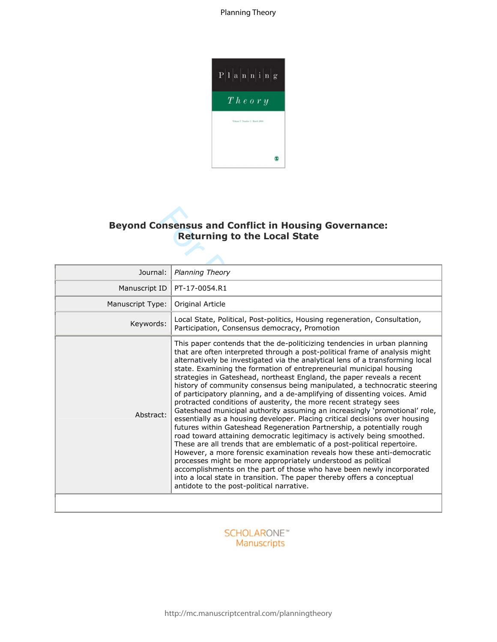Planning Theory



| <b>Beyond Consensus and Conflict in Housing Governance:</b><br><b>Returning to the Local State</b> |                                                                                                                                                                                                                                                                                                                                                                                                                                                                                                                                                                                                                                                                                                                                                                                                                                                                                                                                                                                                                                                                                                                                                                                                                                                                                                                                                                     |  |  |
|----------------------------------------------------------------------------------------------------|---------------------------------------------------------------------------------------------------------------------------------------------------------------------------------------------------------------------------------------------------------------------------------------------------------------------------------------------------------------------------------------------------------------------------------------------------------------------------------------------------------------------------------------------------------------------------------------------------------------------------------------------------------------------------------------------------------------------------------------------------------------------------------------------------------------------------------------------------------------------------------------------------------------------------------------------------------------------------------------------------------------------------------------------------------------------------------------------------------------------------------------------------------------------------------------------------------------------------------------------------------------------------------------------------------------------------------------------------------------------|--|--|
|                                                                                                    |                                                                                                                                                                                                                                                                                                                                                                                                                                                                                                                                                                                                                                                                                                                                                                                                                                                                                                                                                                                                                                                                                                                                                                                                                                                                                                                                                                     |  |  |
| Journal:                                                                                           | Planning Theory                                                                                                                                                                                                                                                                                                                                                                                                                                                                                                                                                                                                                                                                                                                                                                                                                                                                                                                                                                                                                                                                                                                                                                                                                                                                                                                                                     |  |  |
| Manuscript ID                                                                                      | PT-17-0054.R1                                                                                                                                                                                                                                                                                                                                                                                                                                                                                                                                                                                                                                                                                                                                                                                                                                                                                                                                                                                                                                                                                                                                                                                                                                                                                                                                                       |  |  |
| Manuscript Type:                                                                                   | Original Article                                                                                                                                                                                                                                                                                                                                                                                                                                                                                                                                                                                                                                                                                                                                                                                                                                                                                                                                                                                                                                                                                                                                                                                                                                                                                                                                                    |  |  |
| Keywords:                                                                                          | Local State, Political, Post-politics, Housing regeneration, Consultation,<br>Participation, Consensus democracy, Promotion                                                                                                                                                                                                                                                                                                                                                                                                                                                                                                                                                                                                                                                                                                                                                                                                                                                                                                                                                                                                                                                                                                                                                                                                                                         |  |  |
| Abstract:                                                                                          | This paper contends that the de-politicizing tendencies in urban planning<br>that are often interpreted through a post-political frame of analysis might<br>alternatively be investigated via the analytical lens of a transforming local<br>state. Examining the formation of entrepreneurial municipal housing<br>strategies in Gateshead, northeast England, the paper reveals a recent<br>history of community consensus being manipulated, a technocratic steering<br>of participatory planning, and a de-amplifying of dissenting voices. Amid<br>protracted conditions of austerity, the more recent strategy sees<br>Gateshead municipal authority assuming an increasingly 'promotional' role,<br>essentially as a housing developer. Placing critical decisions over housing<br>futures within Gateshead Regeneration Partnership, a potentially rough<br>road toward attaining democratic legitimacy is actively being smoothed.<br>These are all trends that are emblematic of a post-political repertoire.<br>However, a more forensic examination reveals how these anti-democratic<br>processes might be more appropriately understood as political<br>accomplishments on the part of those who have been newly incorporated<br>into a local state in transition. The paper thereby offers a conceptual<br>antidote to the post-political narrative. |  |  |
|                                                                                                    |                                                                                                                                                                                                                                                                                                                                                                                                                                                                                                                                                                                                                                                                                                                                                                                                                                                                                                                                                                                                                                                                                                                                                                                                                                                                                                                                                                     |  |  |

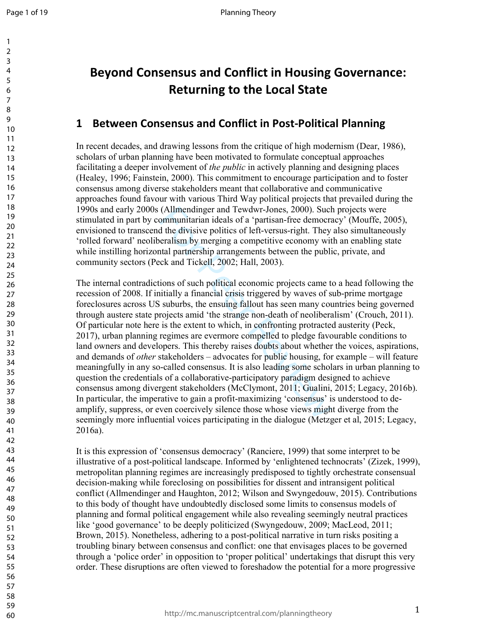# **Beyond Consensus and Conflict in Housing Governance: Returning to the Local State**

# **1 Between Consensus and Conflict in Post-Political Planning**

In recent decades, and drawing lessons from the critique of high modernism (Dear, 1986), scholars of urban planning have been motivated to formulate conceptual approaches facilitating a deeper involvement of *the public* in actively planning and designing places (Healey, 1996; Fainstein, 2000). This commitment to encourage participation and to foster consensus among diverse stakeholders meant that collaborative and communicative approaches found favour with various Third Way political projects that prevailed during the 1990s and early 2000s (Allmendinger and Tewdwr-Jones, 2000). Such projects were stimulated in part by communitarian ideals of a 'partisan-free democracy' (Mouffe, 2005), envisioned to transcend the divisive politics of left-versus-right. They also simultaneously 'rolled forward' neoliberalism by merging a competitive economy with an enabling state while instilling horizontal partnership arrangements between the public, private, and community sectors (Peck and Tickell, 2002; Hall, 2003).

(Allmendinger and Tewdwr-Jones, 2000). Such<br>
communitarian ideals of a 'partisan-free democration<br>
d the divisive politics of left-versus-right. They<br>
eralism by merging a competitive economy wit<br>
tatal partnership arrange The internal contradictions of such political economic projects came to a head following the recession of 2008. If initially a financial crisis triggered by waves of sub-prime mortgage foreclosures across US suburbs, the ensuing fallout has seen many countries being governed through austere state projects amid 'the strange non-death of neoliberalism' (Crouch, 2011). Of particular note here is the extent to which, in confronting protracted austerity (Peck, 2017), urban planning regimes are evermore compelled to pledge favourable conditions to land owners and developers. This thereby raises doubts about whether the voices, aspirations, and demands of *other* stakeholders – advocates for public housing, for example – will feature meaningfully in any so-called consensus. It is also leading some scholars in urban planning to question the credentials of a collaborative-participatory paradigm designed to achieve consensus among divergent stakeholders (McClymont, 2011; Gualini, 2015; Legacy, 2016b). In particular, the imperative to gain a profit-maximizing 'consensus' is understood to deamplify, suppress, or even coercively silence those whose views might diverge from the seemingly more influential voices participating in the dialogue (Metzger et al, 2015; Legacy, 2016a).

It is this expression of 'consensus democracy' (Ranciere, 1999) that some interpret to be illustrative of a post-political landscape. Informed by 'enlightened technocrats' (Zizek, 1999), metropolitan planning regimes are increasingly predisposed to tightly orchestrate consensual decision-making while foreclosing on possibilities for dissent and intransigent political conflict (Allmendinger and Haughton, 2012; Wilson and Swyngedouw, 2015). Contributions to this body of thought have undoubtedly disclosed some limits to consensus models of planning and formal political engagement while also revealing seemingly neutral practices like 'good governance' to be deeply politicized (Swyngedouw, 2009; MacLeod, 2011; Brown, 2015). Nonetheless, adhering to a post-political narrative in turn risks positing a troubling binary between consensus and conflict: one that envisages places to be governed through a 'police order' in opposition to 'proper political' undertakings that disrupt this very order. These disruptions are often viewed to foreshadow the potential for a more progressive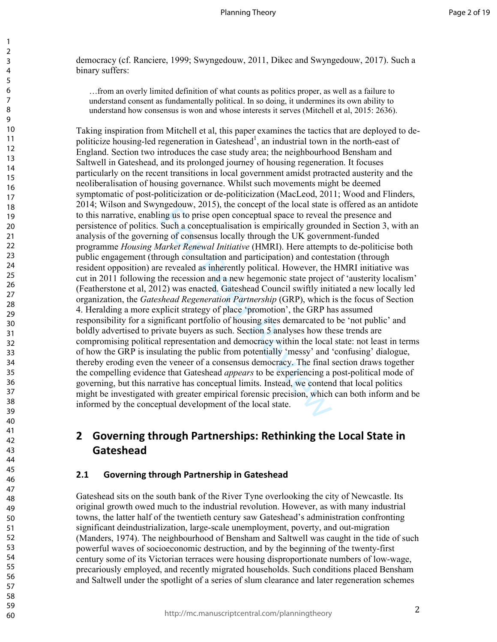democracy (cf. Ranciere, 1999; Swyngedouw, 2011, Dikec and Swyngedouw, 2017). Such a binary suffers:

…from an overly limited definition of what counts as politics proper, as well as a failure to understand consent as fundamentally political. In so doing, it undermines its own ability to understand how consensus is won and whose interests it serves (Mitchell et al, 2015: 2636).

ingletour, 2015), the concept of the local state is<br>ing us to prise open conceptual space to reveal t<br>Such a conceptualisation is empirically ground<br>and of consensus locally through the UK govern<br>farket Renewal Initiative Taking inspiration from Mitchell et al, this paper examines the tactics that are deployed to depoliticize housing-led regeneration in Gateshead<sup>1</sup>, an industrial town in the north-east of England. Section two introduces the case study area; the neighbourhood Bensham and Saltwell in Gateshead, and its prolonged journey of housing regeneration. It focuses particularly on the recent transitions in local government amidst protracted austerity and the neoliberalisation of housing governance. Whilst such movements might be deemed symptomatic of post-politicization or de-politicization (MacLeod, 2011; Wood and Flinders, 2014; Wilson and Swyngedouw, 2015), the concept of the local state is offered as an antidote to this narrative, enabling us to prise open conceptual space to reveal the presence and persistence of politics. Such a conceptualisation is empirically grounded in Section 3, with an analysis of the governing of consensus locally through the UK government-funded programme *Housing Market Renewal Initiative* (HMRI). Here attempts to de-politicise both public engagement (through consultation and participation) and contestation (through resident opposition) are revealed as inherently political. However, the HMRI initiative was cut in 2011 following the recession and a new hegemonic state project of 'austerity localism' (Featherstone et al, 2012) was enacted. Gateshead Council swiftly initiated a new locally led organization, the *Gateshead Regeneration Partnership* (GRP), which is the focus of Section 4. Heralding a more explicit strategy of place 'promotion', the GRP has assumed responsibility for a significant portfolio of housing sites demarcated to be 'not public' and boldly advertised to private buyers as such. Section 5 analyses how these trends are compromising political representation and democracy within the local state: not least in terms of how the GRP is insulating the public from potentially 'messy' and 'confusing' dialogue, thereby eroding even the veneer of a consensus democracy. The final section draws together the compelling evidence that Gateshead *appears* to be experiencing a post-political mode of governing, but this narrative has conceptual limits. Instead, we contend that local politics might be investigated with greater empirical forensic precision, which can both inform and be informed by the conceptual development of the local state.

# **2 Governing through Partnerships: Rethinking the Local State in Gateshead**

### **2.1 Governing through Partnership in Gateshead**

Gateshead sits on the south bank of the River Tyne overlooking the city of Newcastle. Its original growth owed much to the industrial revolution. However, as with many industrial towns, the latter half of the twentieth century saw Gateshead's administration confronting significant deindustrialization, large-scale unemployment, poverty, and out-migration (Manders, 1974). The neighbourhood of Bensham and Saltwell was caught in the tide of such powerful waves of socioeconomic destruction, and by the beginning of the twenty-first century some of its Victorian terraces were housing disproportionate numbers of low-wage, precariously employed, and recently migrated households. Such conditions placed Bensham and Saltwell under the spotlight of a series of slum clearance and later regeneration schemes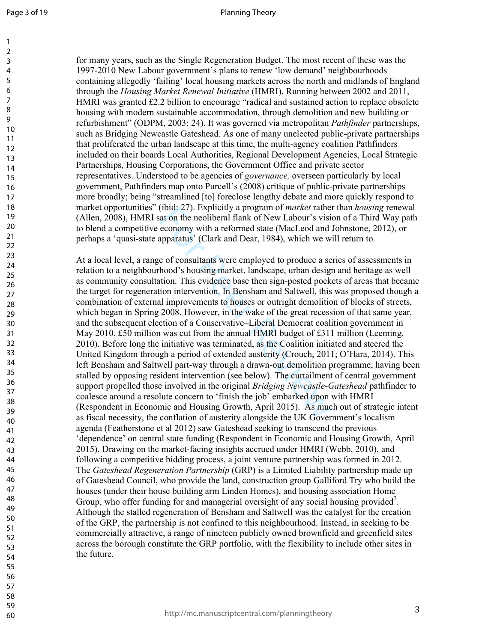#### Planning Theory

for many years, such as the Single Regeneration Budget. The most recent of these was the 1997-2010 New Labour government's plans to renew 'low demand' neighbourhoods containing allegedly 'failing' local housing markets across the north and midlands of England through the *Housing Market Renewal Initiative* (HMRI). Running between 2002 and 2011, HMRI was granted £2.2 billion to encourage "radical and sustained action to replace obsolete housing with modern sustainable accommodation, through demolition and new building or refurbishment" (ODPM, 2003: 24). It was governed via metropolitan *Pathfinder* partnerships, such as Bridging Newcastle Gateshead. As one of many unelected public-private partnerships that proliferated the urban landscape at this time, the multi-agency coalition Pathfinders included on their boards Local Authorities, Regional Development Agencies, Local Strategic Partnerships, Housing Corporations, the Government Office and private sector representatives. Understood to be agencies of *governance,* overseen particularly by local government, Pathfinders map onto Purcell's (2008) critique of public-private partnerships more broadly; being "streamlined [to] foreclose lengthy debate and more quickly respond to market opportunities" (ibid: 27). Explicitly a program of *market* rather than *housing* renewal (Allen, 2008), HMRI sat on the neoliberal flank of New Labour's vision of a Third Way path to blend a competitive economy with a reformed state (MacLeod and Johnstone, 2012), or perhaps a 'quasi-state apparatus' (Clark and Dear, 1984), which we will return to.

(1bld: 27). Explicitly a program of *market* rather<br>at on the neoliberal flank of New Labour's vision<br>economy with a reformed state (MacLeod and and<br>apparatus' (Clark and Dear, 1984), which we will<br>e of consultants were e At a local level, a range of consultants were employed to produce a series of assessments in relation to a neighbourhood's housing market, landscape, urban design and heritage as well as community consultation. This evidence base then sign-posted pockets of areas that became the target for regeneration intervention. In Bensham and Saltwell, this was proposed though a combination of external improvements to houses or outright demolition of blocks of streets, which began in Spring 2008. However, in the wake of the great recession of that same year, and the subsequent election of a Conservative–Liberal Democrat coalition government in May 2010, £50 million was cut from the annual HMRI budget of £311 million (Leeming, 2010). Before long the initiative was terminated, as the Coalition initiated and steered the United Kingdom through a period of extended austerity (Crouch, 2011; O'Hara, 2014). This left Bensham and Saltwell part-way through a drawn-out demolition programme, having been stalled by opposing resident intervention (see below). The curtailment of central government support propelled those involved in the original *Bridging Newcastle-Gateshead* pathfinder to coalesce around a resolute concern to 'finish the job' embarked upon with HMRI (Respondent in Economic and Housing Growth, April 2015). As much out of strategic intent as fiscal necessity, the conflation of austerity alongside the UK Government's localism agenda (Featherstone et al 2012) saw Gateshead seeking to transcend the previous 'dependence' on central state funding (Respondent in Economic and Housing Growth, April 2015). Drawing on the market-facing insights accrued under HMRI (Webb, 2010), and following a competitive bidding process, a joint venture partnership was formed in 2012. The *Gateshead Regeneration Partnership* (GRP) is a Limited Liability partnership made up of Gateshead Council, who provide the land, construction group Galliford Try who build the houses (under their house building arm Linden Homes), and housing association Home Group, who offer funding for and managerial oversight of any social housing provided<sup>2</sup>. Although the stalled regeneration of Bensham and Saltwell was the catalyst for the creation of the GRP, the partnership is not confined to this neighbourhood. Instead, in seeking to be commercially attractive, a range of nineteen publicly owned brownfield and greenfield sites across the borough constitute the GRP portfolio, with the flexibility to include other sites in the future.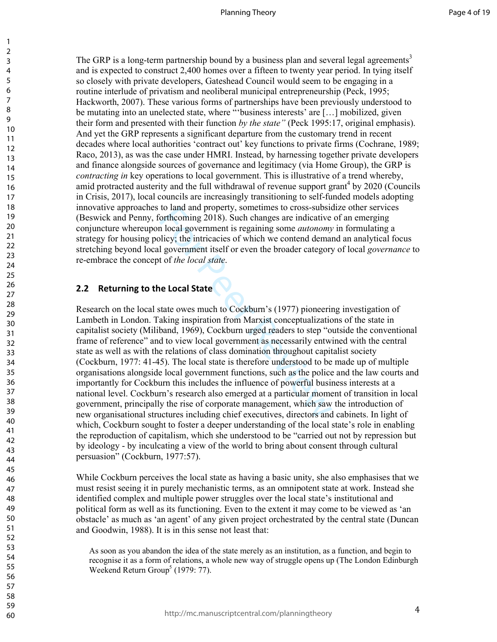The GRP is a long-term partnership bound by a business plan and several legal agreements<sup>3</sup> and is expected to construct 2,400 homes over a fifteen to twenty year period. In tying itself so closely with private developers, Gateshead Council would seem to be engaging in a routine interlude of privatism and neoliberal municipal entrepreneurship (Peck, 1995; Hackworth, 2007). These various forms of partnerships have been previously understood to be mutating into an unelected state, where "'business interests' are […] mobilized, given their form and presented with their function *by the state"* (Peck 1995:17, original emphasis). And yet the GRP represents a significant departure from the customary trend in recent decades where local authorities 'contract out' key functions to private firms (Cochrane, 1989; Raco, 2013), as was the case under HMRI. Instead, by harnessing together private developers and finance alongside sources of governance and legitimacy (via Home Group), the GRP is *contracting in* key operations to local government. This is illustrative of a trend whereby, amid protracted austerity and the full withdrawal of revenue support grant<sup>4</sup> by 2020 (Councils in Crisis, 2017), local councils are increasingly transitioning to self-funded models adopting innovative approaches to land and property, sometimes to cross-subsidize other services (Beswick and Penny, forthcoming 2018). Such changes are indicative of an emerging conjuncture whereupon local government is regaining some *autonomy* in formulating a strategy for housing policy; the intricacies of which we contend demand an analytical focus stretching beyond local government itself or even the broader category of local *governance* to re-embrace the concept of *the local state*.

### **2.2 Returning to the Local State**

to land and property, sometimes to cross-substant<br>orthcoming 2018). Such changes are indicative<br>orthcoming 2018). Such changes are indicative<br>all government is regaining some *autonomy*<br>licy; the intricacies of which we co Research on the local state owes much to Cockburn's (1977) pioneering investigation of Lambeth in London. Taking inspiration from Marxist conceptualizations of the state in capitalist society (Miliband, 1969), Cockburn urged readers to step "outside the conventional frame of reference" and to view local government as necessarily entwined with the central state as well as with the relations of class domination throughout capitalist society (Cockburn, 1977: 41-45). The local state is therefore understood to be made up of multiple organisations alongside local government functions, such as the police and the law courts and importantly for Cockburn this includes the influence of powerful business interests at a national level. Cockburn's research also emerged at a particular moment of transition in local government, principally the rise of corporate management, which saw the introduction of new organisational structures including chief executives, directors and cabinets. In light of which, Cockburn sought to foster a deeper understanding of the local state's role in enabling the reproduction of capitalism, which she understood to be "carried out not by repression but by ideology - by inculcating a view of the world to bring about consent through cultural persuasion" (Cockburn, 1977:57).

While Cockburn perceives the local state as having a basic unity, she also emphasises that we must resist seeing it in purely mechanistic terms, as an omnipotent state at work. Instead she identified complex and multiple power struggles over the local state's institutional and political form as well as its functioning. Even to the extent it may come to be viewed as 'an obstacle' as much as 'an agent' of any given project orchestrated by the central state (Duncan and Goodwin, 1988). It is in this sense not least that:

As soon as you abandon the idea of the state merely as an institution, as a function, and begin to recognise it as a form of relations, a whole new way of struggle opens up (The London Edinburgh Weekend Return Group<sup>5</sup> (1979: 77).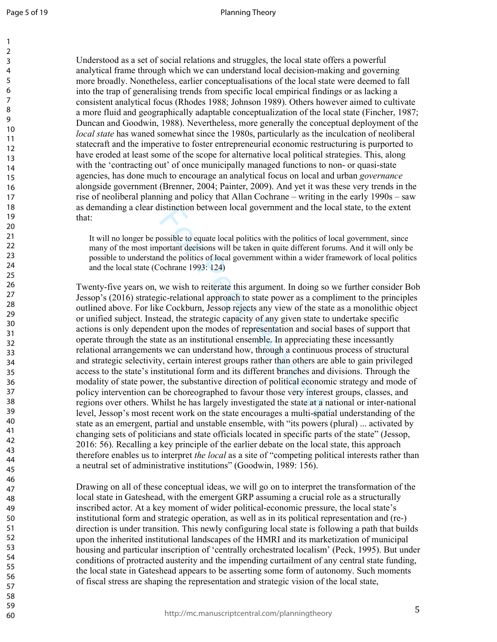#### Planning Theory

59 60 Understood as a set of social relations and struggles, the local state offers a powerful analytical frame through which we can understand local decision-making and governing more broadly. Nonetheless, earlier conceptualisations of the local state were deemed to fall into the trap of generalising trends from specific local empirical findings or as lacking a consistent analytical focus (Rhodes 1988; Johnson 1989). Others however aimed to cultivate a more fluid and geographically adaptable conceptualization of the local state (Fincher, 1987; Duncan and Goodwin, 1988). Nevertheless, more generally the conceptual deployment of the *local state* has waned somewhat since the 1980s, particularly as the inculcation of neoliberal statecraft and the imperative to foster entrepreneurial economic restructuring is purported to have eroded at least some of the scope for alternative local political strategies. This, along with the 'contracting out' of once municipally managed functions to non- or quasi-state agencies, has done much to encourage an analytical focus on local and urban *governance* alongside government (Brenner, 2004; Painter, 2009). And yet it was these very trends in the rise of neoliberal planning and policy that Allan Cochrane – writing in the early 1990s – saw as demanding a clear distinction between local government and the local state, to the extent that:

It will no longer be possible to equate local politics with the politics of local government, since many of the most important decisions will be taken in quite different forums. And it will only be possible to understand the politics of local government within a wider framework of local politics and the local state (Cochrane 1993: 124)

Istinction between local government and the locations wished to equate local politics with the politics of looptrant decisions will be taken in quite different form of the politics of local government within a wider fracti Twenty-five years on, we wish to reiterate this argument. In doing so we further consider Bob Jessop's (2016) strategic-relational approach to state power as a compliment to the principles outlined above. For like Cockburn, Jessop rejects any view of the state as a monolithic object or unified subject. Instead, the strategic capacity of any given state to undertake specific actions is only dependent upon the modes of representation and social bases of support that operate through the state as an institutional ensemble. In appreciating these incessantly relational arrangements we can understand how, through a continuous process of structural and strategic selectivity, certain interest groups rather than others are able to gain privileged access to the state's institutional form and its different branches and divisions. Through the modality of state power, the substantive direction of political economic strategy and mode of policy intervention can be choreographed to favour those very interest groups, classes, and regions over others. Whilst he has largely investigated the state at a national or inter-national level, Jessop's most recent work on the state encourages a multi-spatial understanding of the state as an emergent, partial and unstable ensemble, with "its powers (plural) ... activated by changing sets of politicians and state officials located in specific parts of the state" (Jessop, 2016: 56). Recalling a key principle of the earlier debate on the local state, this approach therefore enables us to interpret *the local* as a site of "competing political interests rather than a neutral set of administrative institutions" (Goodwin, 1989: 156).

Drawing on all of these conceptual ideas, we will go on to interpret the transformation of the local state in Gateshead, with the emergent GRP assuming a crucial role as a structurally inscribed actor. At a key moment of wider political-economic pressure, the local state's institutional form and strategic operation, as well as in its political representation and (re-) direction is under transition. This newly configuring local state is following a path that builds upon the inherited institutional landscapes of the HMRI and its marketization of municipal housing and particular inscription of 'centrally orchestrated localism' (Peck, 1995). But under conditions of protracted austerity and the impending curtailment of any central state funding, the local state in Gateshead appears to be asserting some form of autonomy. Such moments of fiscal stress are shaping the representation and strategic vision of the local state,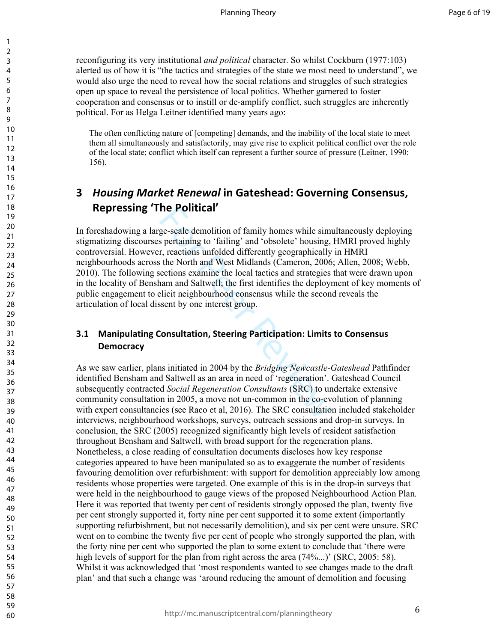reconfiguring its very institutional *and political* character. So whilst Cockburn (1977:103) alerted us of how it is "the tactics and strategies of the state we most need to understand", we would also urge the need to reveal how the social relations and struggles of such strategies open up space to reveal the persistence of local politics. Whether garnered to foster cooperation and consensus or to instill or de-amplify conflict, such struggles are inherently political. For as Helga Leitner identified many years ago:

The often conflicting nature of [competing] demands, and the inability of the local state to meet them all simultaneously and satisfactorily, may give rise to explicit political conflict over the role of the local state; conflict which itself can represent a further source of pressure (Leitner, 1990: 156).

# **3** *Housing Market Renewal* **in Gateshead: Governing Consensus, Repressing 'The Political'**

**ne Political**<br>ge-scale demolition of family homes while sims<br>pertaining to 'failing' and 'obsolete' housing,<br>r, reactions unfolded differently geographically<br>the North and West Midlands (Cameron, 2006<br>ections examine the In foreshadowing a large-scale demolition of family homes while simultaneously deploying stigmatizing discourses pertaining to 'failing' and 'obsolete' housing, HMRI proved highly controversial. However, reactions unfolded differently geographically in HMRI neighbourhoods across the North and West Midlands (Cameron, 2006; Allen, 2008; Webb, 2010). The following sections examine the local tactics and strategies that were drawn upon in the locality of Bensham and Saltwell; the first identifies the deployment of key moments of public engagement to elicit neighbourhood consensus while the second reveals the articulation of local dissent by one interest group.

## **3.1 Manipulating Consultation, Steering Participation: Limits to Consensus Democracy**

As we saw earlier, plans initiated in 2004 by the *Bridging Newcastle-Gateshead* Pathfinder identified Bensham and Saltwell as an area in need of 'regeneration'. Gateshead Council subsequently contracted *Social Regeneration Consultants* (SRC) to undertake extensive community consultation in 2005, a move not un-common in the co-evolution of planning with expert consultancies (see Raco et al, 2016). The SRC consultation included stakeholder interviews, neighbourhood workshops, surveys, outreach sessions and drop-in surveys. In conclusion, the SRC (2005) recognized significantly high levels of resident satisfaction throughout Bensham and Saltwell, with broad support for the regeneration plans. Nonetheless, a close reading of consultation documents discloses how key response categories appeared to have been manipulated so as to exaggerate the number of residents favouring demolition over refurbishment: with support for demolition appreciably low among residents whose properties were targeted. One example of this is in the drop-in surveys that were held in the neighbourhood to gauge views of the proposed Neighbourhood Action Plan. Here it was reported that twenty per cent of residents strongly opposed the plan, twenty five per cent strongly supported it, forty nine per cent supported it to some extent (importantly supporting refurbishment, but not necessarily demolition), and six per cent were unsure. SRC went on to combine the twenty five per cent of people who strongly supported the plan, with the forty nine per cent who supported the plan to some extent to conclude that 'there were high levels of support for the plan from right across the area  $(74\%...)$  (SRC, 2005: 58). Whilst it was acknowledged that 'most respondents wanted to see changes made to the draft plan' and that such a change was 'around reducing the amount of demolition and focusing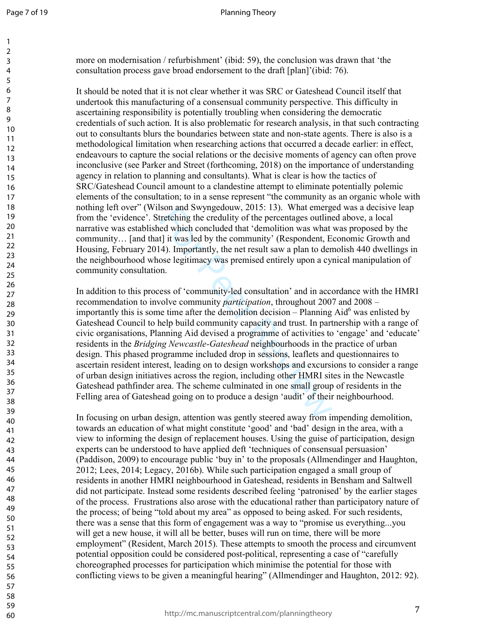more on modernisation / refurbishment' (ibid: 59), the conclusion was drawn that 'the consultation process gave broad endorsement to the draft [plan]'(ibid: 76).

It should be noted that it is not clear whether it was SRC or Gateshead Council itself that undertook this manufacturing of a consensual community perspective. This difficulty in ascertaining responsibility is potentially troubling when considering the democratic credentials of such action. It is also problematic for research analysis, in that such contracting out to consultants blurs the boundaries between state and non-state agents. There is also is a methodological limitation when researching actions that occurred a decade earlier: in effect, endeavours to capture the social relations or the decisive moments of agency can often prove inconclusive (see Parker and Street (forthcoming, 2018) on the importance of understanding agency in relation to planning and consultants). What is clear is how the tactics of SRC/Gateshead Council amount to a clandestine attempt to eliminate potentially polemic elements of the consultation; to in a sense represent "the community as an organic whole with nothing left over" (Wilson and Swyngedouw, 2015: 13). What emerged was a decisive leap from the 'evidence'. Stretching the credulity of the percentages outlined above, a local narrative was established which concluded that 'demolition was what was proposed by the community… [and that] it was led by the community' (Respondent, Economic Growth and Housing, February 2014). Importantly, the net result saw a plan to demolish 440 dwellings in the neighbourhood whose legitimacy was premised entirely upon a cynical manipulation of community consultation.

ison and Swyngedouw, 2015: 13). What emergivet<br>tretching the credulity of the percentages outlined which concluded that 'demolition was what<br>t] it was led by the community' (Respondent, E<br>4). Importantly, the net result sa In addition to this process of 'community-led consultation' and in accordance with the HMRI recommendation to involve community *participation*, throughout 2007 and 2008 – importantly this is some time after the demolition decision  $-$  Planning Aid<sup>6</sup> was enlisted by Gateshead Council to help build community capacity and trust. In partnership with a range of civic organisations, Planning Aid devised a programme of activities to 'engage' and 'educate' residents in the *Bridging Newcastle-Gateshead* neighbourhoods in the practice of urban design. This phased programme included drop in sessions, leaflets and questionnaires to ascertain resident interest, leading on to design workshops and excursions to consider a range of urban design initiatives across the region, including other HMRI sites in the Newcastle Gateshead pathfinder area. The scheme culminated in one small group of residents in the Felling area of Gateshead going on to produce a design 'audit' of their neighbourhood.

In focusing on urban design, attention was gently steered away from impending demolition, towards an education of what might constitute 'good' and 'bad' design in the area, with a view to informing the design of replacement houses. Using the guise of participation, design experts can be understood to have applied deft 'techniques of consensual persuasion' (Paddison, 2009) to encourage public 'buy in' to the proposals (Allmendinger and Haughton, 2012; Lees, 2014; Legacy, 2016b). While such participation engaged a small group of residents in another HMRI neighbourhood in Gateshead, residents in Bensham and Saltwell did not participate. Instead some residents described feeling 'patronised' by the earlier stages of the process. Frustrations also arose with the educational rather than participatory nature of the process; of being "told about my area" as opposed to being asked. For such residents, there was a sense that this form of engagement was a way to "promise us everything...you will get a new house, it will all be better, buses will run on time, there will be more employment" (Resident, March 2015). These attempts to smooth the process and circumvent potential opposition could be considered post-political, representing a case of "carefully choreographed processes for participation which minimise the potential for those with conflicting views to be given a meaningful hearing" (Allmendinger and Haughton, 2012: 92).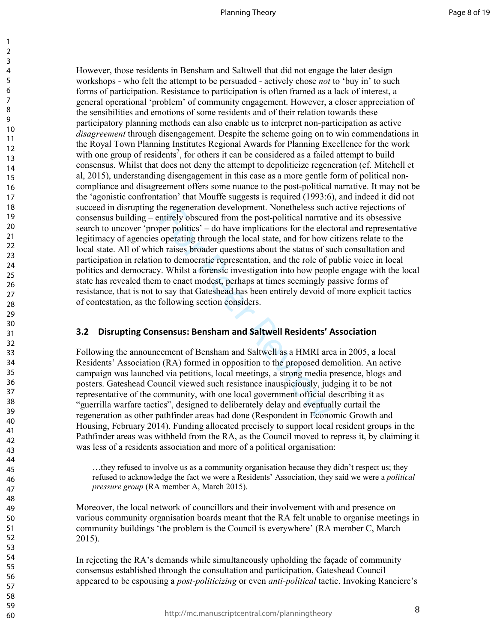he regeneration development. Nonetheless such<br>ntirely obscured from the post-political narrativ<br>per politics' – do have implications for the elect<br>operating through the local state, and for how c<br>h raises broader questions However, those residents in Bensham and Saltwell that did not engage the later design workshops - who felt the attempt to be persuaded - actively chose *not* to 'buy in' to such forms of participation. Resistance to participation is often framed as a lack of interest, a general operational 'problem' of community engagement. However, a closer appreciation of the sensibilities and emotions of some residents and of their relation towards these participatory planning methods can also enable us to interpret non-participation as active *disagreement* through disengagement. Despite the scheme going on to win commendations in the Royal Town Planning Institutes Regional Awards for Planning Excellence for the work with one group of residents<sup>7</sup>, for others it can be considered as a failed attempt to build consensus. Whilst that does not deny the attempt to depoliticize regeneration (cf. Mitchell et al, 2015), understanding disengagement in this case as a more gentle form of political noncompliance and disagreement offers some nuance to the post-political narrative. It may not be the 'agonistic confrontation' that Mouffe suggests is required (1993:6), and indeed it did not succeed in disrupting the regeneration development. Nonetheless such active rejections of consensus building – entirely obscured from the post-political narrative and its obsessive search to uncover 'proper politics' – do have implications for the electoral and representative legitimacy of agencies operating through the local state, and for how citizens relate to the local state. All of which raises broader questions about the status of such consultation and participation in relation to democratic representation, and the role of public voice in local politics and democracy. Whilst a forensic investigation into how people engage with the local state has revealed them to enact modest, perhaps at times seemingly passive forms of resistance, that is not to say that Gateshead has been entirely devoid of more explicit tactics of contestation, as the following section considers.

### **3.2 Disrupting Consensus: Bensham and Saltwell Residents' Association**

Following the announcement of Bensham and Saltwell as a HMRI area in 2005, a local Residents' Association (RA) formed in opposition to the proposed demolition. An active campaign was launched via petitions, local meetings, a strong media presence, blogs and posters. Gateshead Council viewed such resistance inauspiciously, judging it to be not representative of the community, with one local government official describing it as "guerrilla warfare tactics", designed to deliberately delay and eventually curtail the regeneration as other pathfinder areas had done (Respondent in Economic Growth and Housing, February 2014). Funding allocated precisely to support local resident groups in the Pathfinder areas was withheld from the RA, as the Council moved to repress it, by claiming it was less of a residents association and more of a political organisation:

…they refused to involve us as a community organisation because they didn't respect us; they refused to acknowledge the fact we were a Residents' Association, they said we were a *political pressure group* (RA member A, March 2015).

Moreover, the local network of councillors and their involvement with and presence on various community organisation boards meant that the RA felt unable to organise meetings in community buildings 'the problem is the Council is everywhere' (RA member C, March 2015).

In rejecting the RA's demands while simultaneously upholding the façade of community consensus established through the consultation and participation, Gateshead Council appeared to be espousing a *post-politicizing* or even *anti-political* tactic. Invoking Ranciere's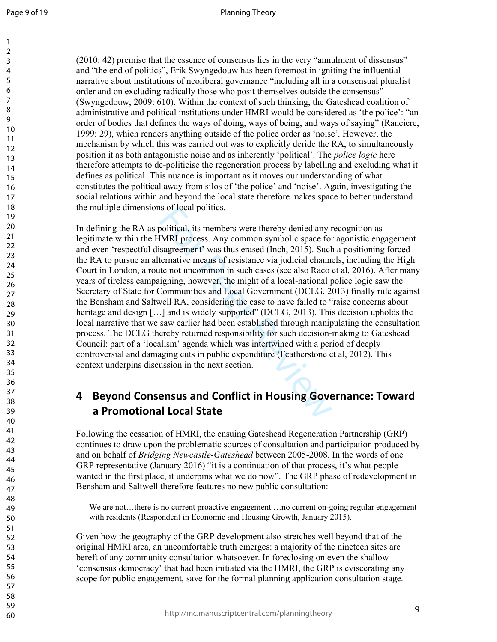(2010: 42) premise that the essence of consensus lies in the very "annulment of dissensus" and "the end of politics", Erik Swyngedouw has been foremost in igniting the influential narrative about institutions of neoliberal governance "including all in a consensual pluralist order and on excluding radically those who posit themselves outside the consensus" (Swyngedouw, 2009: 610). Within the context of such thinking, the Gateshead coalition of administrative and political institutions under HMRI would be considered as 'the police': "an order of bodies that defines the ways of doing, ways of being, and ways of saying" (Ranciere, 1999: 29), which renders anything outside of the police order as 'noise'. However, the mechanism by which this was carried out was to explicitly deride the RA, to simultaneously position it as both antagonistic noise and as inherently 'political'. The *police logic* here therefore attempts to de-politicise the regeneration process by labelling and excluding what it defines as political. This nuance is important as it moves our understanding of what constitutes the political away from silos of 'the police' and 'noise'. Again, investigating the social relations within and beyond the local state therefore makes space to better understand the multiple dimensions of local politics.

is of local politics.<br>
Solitical, its members were thereby denied any r<br>
IMRI process. Any common symbolic space for<br>
sagreement' was thus erased (Inch, 2015). Such<br>
ternative means of resistance via judicial channe<br>
the n In defining the RA as political, its members were thereby denied any recognition as legitimate within the HMRI process. Any common symbolic space for agonistic engagement and even 'respectful disagreement' was thus erased (Inch, 2015). Such a positioning forced the RA to pursue an alternative means of resistance via judicial channels, including the High Court in London, a route not uncommon in such cases (see also Raco et al, 2016). After many years of tireless campaigning, however, the might of a local-national police logic saw the Secretary of State for Communities and Local Government (DCLG, 2013) finally rule against the Bensham and Saltwell RA, considering the case to have failed to "raise concerns about heritage and design [...] and is widely supported" (DCLG, 2013). This decision upholds the local narrative that we saw earlier had been established through manipulating the consultation process. The DCLG thereby returned responsibility for such decision-making to Gateshead Council: part of a 'localism' agenda which was intertwined with a period of deeply controversial and damaging cuts in public expenditure (Featherstone et al, 2012). This context underpins discussion in the next section.

# **4 Beyond Consensus and Conflict in Housing Governance: Toward a Promotional Local State**

Following the cessation of HMRI, the ensuing Gateshead Regeneration Partnership (GRP) continues to draw upon the problematic sources of consultation and participation produced by and on behalf of *Bridging Newcastle-Gateshead* between 2005-2008. In the words of one GRP representative (January 2016) "it is a continuation of that process, it's what people wanted in the first place, it underpins what we do now". The GRP phase of redevelopment in Bensham and Saltwell therefore features no new public consultation:

We are not...there is no current proactive engagement.... no current on-going regular engagement with residents (Respondent in Economic and Housing Growth, January 2015).

Given how the geography of the GRP development also stretches well beyond that of the original HMRI area, an uncomfortable truth emerges: a majority of the nineteen sites are bereft of any community consultation whatsoever. In foreclosing on even the shallow 'consensus democracy' that had been initiated via the HMRI, the GRP is eviscerating any scope for public engagement, save for the formal planning application consultation stage.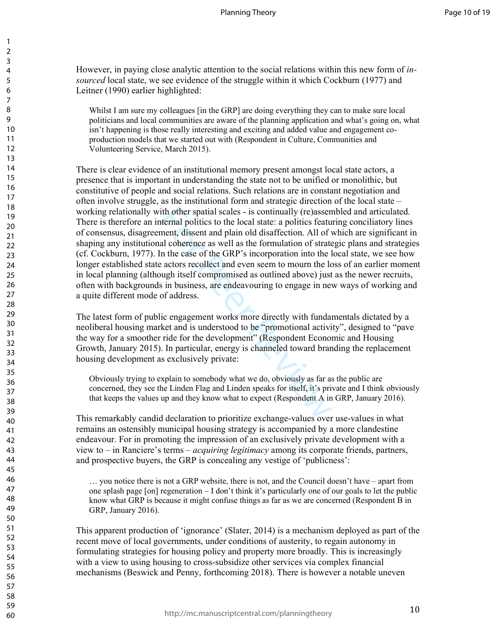However, in paying close analytic attention to the social relations within this new form of *insourced* local state, we see evidence of the struggle within it which Cockburn (1977) and Leitner (1990) earlier highlighted:

Whilst I am sure my colleagues [in the GRP] are doing everything they can to make sure local politicians and local communities are aware of the planning application and what's going on, what isn't happening is those really interesting and exciting and added value and engagement coproduction models that we started out with (Respondent in Culture, Communities and Volunteering Service, March 2015).

ith other spatial scales - is continually (re)assen<br>ternal politics to the local state: a politics featu<br>ment, dissent and plain old disaffection. All of v<br>al coherence as well as the formulation of strate<br>In the case of t There is clear evidence of an institutional memory present amongst local state actors, a presence that is important in understanding the state not to be unified or monolithic, but constitutive of people and social relations. Such relations are in constant negotiation and often involve struggle, as the institutional form and strategic direction of the local state – working relationally with other spatial scales - is continually (re)assembled and articulated. There is therefore an internal politics to the local state: a politics featuring conciliatory lines of consensus, disagreement, dissent and plain old disaffection. All of which are significant in shaping any institutional coherence as well as the formulation of strategic plans and strategies (cf. Cockburn, 1977). In the case of the GRP's incorporation into the local state, we see how longer established state actors recollect and even seem to mourn the loss of an earlier moment in local planning (although itself compromised as outlined above) just as the newer recruits, often with backgrounds in business, are endeavouring to engage in new ways of working and a quite different mode of address.

The latest form of public engagement works more directly with fundamentals dictated by a neoliberal housing market and is understood to be "promotional activity", designed to "pave the way for a smoother ride for the development" (Respondent Economic and Housing Growth, January 2015). In particular, energy is channeled toward branding the replacement housing development as exclusively private:

Obviously trying to explain to somebody what we do, obviously as far as the public are concerned, they see the Linden Flag and Linden speaks for itself, it's private and I think obviously that keeps the values up and they know what to expect (Respondent A in GRP, January 2016).

This remarkably candid declaration to prioritize exchange-values over use-values in what remains an ostensibly municipal housing strategy is accompanied by a more clandestine endeavour. For in promoting the impression of an exclusively private development with a view to – in Ranciere's terms – *acquiring legitimacy* among its corporate friends, partners, and prospective buyers, the GRP is concealing any vestige of 'publicness':

… you notice there is not a GRP website, there is not, and the Council doesn't have – apart from one splash page [on] regeneration – I don't think it's particularly one of our goals to let the public know what GRP is because it might confuse things as far as we are concerned (Respondent B in GRP, January 2016).

This apparent production of 'ignorance' (Slater, 2014) is a mechanism deployed as part of the recent move of local governments, under conditions of austerity, to regain autonomy in formulating strategies for housing policy and property more broadly. This is increasingly with a view to using housing to cross-subsidize other services via complex financial mechanisms (Beswick and Penny, forthcoming 2018). There is however a notable uneven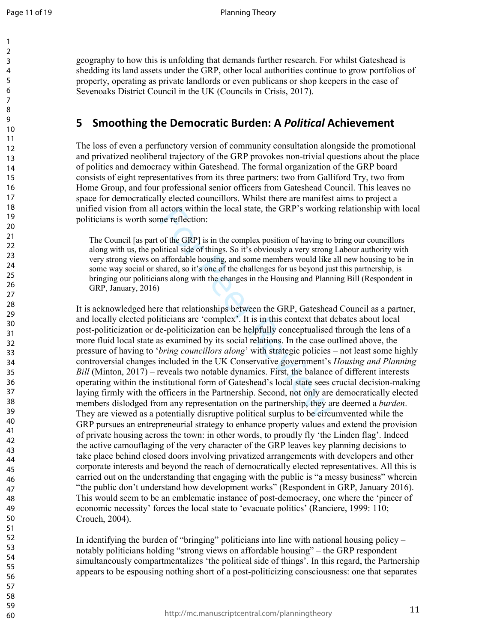geography to how this is unfolding that demands further research. For whilst Gateshead is shedding its land assets under the GRP, other local authorities continue to grow portfolios of property, operating as private landlords or even publicans or shop keepers in the case of Sevenoaks District Council in the UK (Councils in Crisis, 2017).

# **5 Smoothing the Democratic Burden: A** *Political* **Achievement**

The loss of even a perfunctory version of community consultation alongside the promotional and privatized neoliberal trajectory of the GRP provokes non-trivial questions about the place of politics and democracy within Gateshead. The formal organization of the GRP board consists of eight representatives from its three partners: two from Galliford Try, two from Home Group, and four professional senior officers from Gateshead Council. This leaves no space for democratically elected councillors. Whilst there are manifest aims to project a unified vision from all actors within the local state, the GRP's working relationship with local politicians is worth some reflection:

The Council [as part of the GRP] is in the complex position of having to bring our councillors along with us, the political side of things. So it's obviously a very strong Labour authority with very strong views on affordable housing, and some members would like all new housing to be in some way social or shared, so it's one of the challenges for us beyond just this partnership, is bringing our politicians along with the changes in the Housing and Planning Bill (Respondent in GRP, January, 2016)

actors within the local state, the GRP's working<br>me reflection:<br>of the GRP] is in the complex position of having to<br>litical side of things. So it's obviously a very strong<br>affordable housing, and some members would like<br>ha It is acknowledged here that relationships between the GRP, Gateshead Council as a partner, and locally elected politicians are 'complex'. It is in this context that debates about local post-politicization or de-politicization can be helpfully conceptualised through the lens of a more fluid local state as examined by its social relations. In the case outlined above, the pressure of having to '*bring councillors along*' with strategic policies – not least some highly controversial changes included in the UK Conservative government's *Housing and Planning Bill* (Minton, 2017) – reveals two notable dynamics. First, the balance of different interests operating within the institutional form of Gateshead's local state sees crucial decision-making laying firmly with the officers in the Partnership. Second, not only are democratically elected members dislodged from any representation on the partnership, they are deemed a *burden*. They are viewed as a potentially disruptive political surplus to be circumvented while the GRP pursues an entrepreneurial strategy to enhance property values and extend the provision of private housing across the town: in other words, to proudly fly 'the Linden flag'. Indeed the active camouflaging of the very character of the GRP leaves key planning decisions to take place behind closed doors involving privatized arrangements with developers and other corporate interests and beyond the reach of democratically elected representatives. All this is carried out on the understanding that engaging with the public is "a messy business" wherein "the public don't understand how development works" (Respondent in GRP, January 2016). This would seem to be an emblematic instance of post-democracy, one where the 'pincer of economic necessity' forces the local state to 'evacuate politics' (Ranciere, 1999: 110; Crouch, 2004).

In identifying the burden of "bringing" politicians into line with national housing policy – notably politicians holding "strong views on affordable housing" – the GRP respondent simultaneously compartmentalizes 'the political side of things'. In this regard, the Partnership appears to be espousing nothing short of a post-politicizing consciousness: one that separates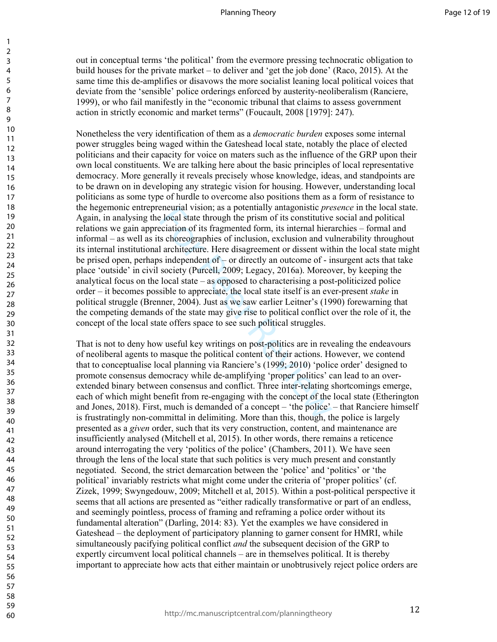out in conceptual terms 'the political' from the evermore pressing technocratic obligation to build houses for the private market – to deliver and 'get the job done' (Raco, 2015). At the same time this de-amplifies or disavows the more socialist leaning local political voices that deviate from the 'sensible' police orderings enforced by austerity-neoliberalism (Ranciere, 1999), or who fail manifestly in the "economic tribunal that claims to assess government action in strictly economic and market terms" (Foucault, 2008 [1979]: 247).

eneurial vision; as a potentially antagonistic *pre*<br>
local state through the prism of its constitutive<br>
cciation of its fragmented form, its internal hiera<br>
s choreographies of inclusion, exclusion and vu<br>
larchitecture. Nonetheless the very identification of them as a *democratic burden* exposes some internal power struggles being waged within the Gateshead local state, notably the place of elected politicians and their capacity for voice on maters such as the influence of the GRP upon their own local constituents. We are talking here about the basic principles of local representative democracy. More generally it reveals precisely whose knowledge, ideas, and standpoints are to be drawn on in developing any strategic vision for housing. However, understanding local politicians as some type of hurdle to overcome also positions them as a form of resistance to the hegemonic entrepreneurial vision; as a potentially antagonistic *presence* in the local state. Again, in analysing the local state through the prism of its constitutive social and political relations we gain appreciation of its fragmented form, its internal hierarchies – formal and informal – as well as its choreographies of inclusion, exclusion and vulnerability throughout its internal institutional architecture. Here disagreement or dissent within the local state might be prised open, perhaps independent of – or directly an outcome of - insurgent acts that take place 'outside' in civil society (Purcell, 2009; Legacy, 2016a). Moreover, by keeping the analytical focus on the local state – as opposed to characterising a post-politicized police order – it becomes possible to appreciate, the local state itself is an ever-present *stake* in political struggle (Brenner, 2004). Just as we saw earlier Leitner's (1990) forewarning that the competing demands of the state may give rise to political conflict over the role of it, the concept of the local state offers space to see such political struggles.

That is not to deny how useful key writings on post-politics are in revealing the endeavours of neoliberal agents to masque the political content of their actions. However, we contend that to conceptualise local planning via Ranciere's (1999; 2010) 'police order' designed to promote consensus democracy while de-amplifying 'proper politics' can lead to an overextended binary between consensus and conflict. Three inter-relating shortcomings emerge, each of which might benefit from re-engaging with the concept of the local state (Etherington and Jones, 2018). First, much is demanded of a concept – 'the police' – that Ranciere himself is frustratingly non-committal in delimiting. More than this, though, the police is largely presented as a *given* order, such that its very construction, content, and maintenance are insufficiently analysed (Mitchell et al, 2015). In other words, there remains a reticence around interrogating the very 'politics of the police' (Chambers, 2011). We have seen through the lens of the local state that such politics is very much present and constantly negotiated. Second, the strict demarcation between the 'police' and 'politics' or 'the political' invariably restricts what might come under the criteria of 'proper politics' (cf. Zizek, 1999; Swyngedouw, 2009; Mitchell et al, 2015). Within a post-political perspective it seems that all actions are presented as "either radically transformative or part of an endless, and seemingly pointless, process of framing and reframing a police order without its fundamental alteration" (Darling, 2014: 83). Yet the examples we have considered in Gateshead – the deployment of participatory planning to garner consent for HMRI, while simultaneously pacifying political conflict *and* the subsequent decision of the GRP to expertly circumvent local political channels – are in themselves political. It is thereby important to appreciate how acts that either maintain or unobtrusively reject police orders are

59 60

1 2 3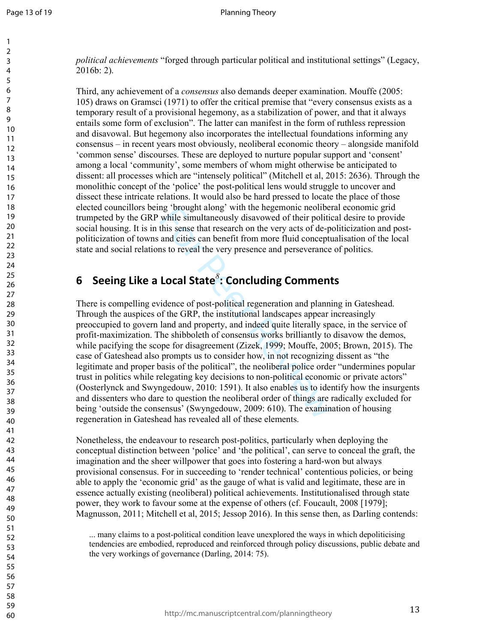*political achievements* "forged through particular political and institutional settings" (Legacy, 2016b: 2).

Third, any achievement of a *consensus* also demands deeper examination. Mouffe (2005: 105) draws on Gramsci (1971) to offer the critical premise that "every consensus exists as a temporary result of a provisional hegemony, as a stabilization of power, and that it always entails some form of exclusion". The latter can manifest in the form of ruthless repression and disavowal. But hegemony also incorporates the intellectual foundations informing any consensus – in recent years most obviously, neoliberal economic theory – alongside manifold 'common sense' discourses. These are deployed to nurture popular support and 'consent' among a local 'community', some members of whom might otherwise be anticipated to dissent: all processes which are "intensely political" (Mitchell et al, 2015: 2636). Through the monolithic concept of the 'police' the post-political lens would struggle to uncover and dissect these intricate relations. It would also be hard pressed to locate the place of those elected councillors being 'brought along' with the hegemonic neoliberal economic grid trumpeted by the GRP while simultaneously disavowed of their political desire to provide social housing. It is in this sense that research on the very acts of de-politicization and postpoliticization of towns and cities can benefit from more fluid conceptualisation of the local state and social relations to reveal the very presence and perseverance of politics.

# **6 Seeing Like a Local State***<sup>8</sup>* **: Concluding Comments**

may 'brought along' with the negemonic neoliber<br>while simultaneously disavowed of their politic<br>this sense that research on the very acts of de-pa<br>and cities can benefit from more fluid conceptu<br>ns to reveal the very pres There is compelling evidence of post-political regeneration and planning in Gateshead. Through the auspices of the GRP, the institutional landscapes appear increasingly preoccupied to govern land and property, and indeed quite literally space, in the service of profit-maximization. The shibboleth of consensus works brilliantly to disavow the demos, while pacifying the scope for disagreement (Zizek, 1999; Mouffe, 2005; Brown, 2015). The case of Gateshead also prompts us to consider how, in not recognizing dissent as "the legitimate and proper basis of the political", the neoliberal police order "undermines popular trust in politics while relegating key decisions to non-political economic or private actors" (Oosterlynck and Swyngedouw, 2010: 1591). It also enables us to identify how the insurgents and dissenters who dare to question the neoliberal order of things are radically excluded for being 'outside the consensus' (Swyngedouw, 2009: 610). The examination of housing regeneration in Gateshead has revealed all of these elements.

Nonetheless, the endeavour to research post-politics, particularly when deploying the conceptual distinction between 'police' and 'the political', can serve to conceal the graft, the imagination and the sheer willpower that goes into fostering a hard-won but always provisional consensus. For in succeeding to 'render technical' contentious policies, or being able to apply the 'economic grid' as the gauge of what is valid and legitimate, these are in essence actually existing (neoliberal) political achievements. Institutionalised through state power, they work to favour some at the expense of others (cf. Foucault, 2008 [1979]; Magnusson, 2011; Mitchell et al, 2015; Jessop 2016). In this sense then, as Darling contends:

... many claims to a post-political condition leave unexplored the ways in which depoliticising tendencies are embodied, reproduced and reinforced through policy discussions, public debate and the very workings of governance (Darling, 2014: 75).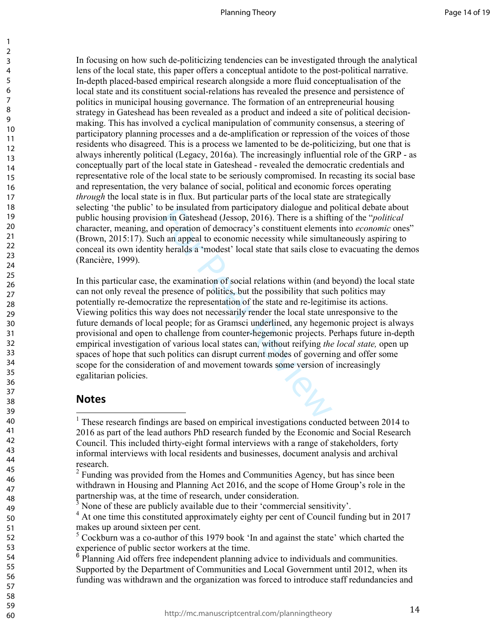In focusing on how such de-politicizing tendencies can be investigated through the analytical lens of the local state, this paper offers a conceptual antidote to the post-political narrative. In-depth placed-based empirical research alongside a more fluid conceptualisation of the local state and its constituent social-relations has revealed the presence and persistence of politics in municipal housing governance. The formation of an entrepreneurial housing strategy in Gateshead has been revealed as a product and indeed a site of political decisionmaking. This has involved a cyclical manipulation of community consensus, a steering of participatory planning processes and a de-amplification or repression of the voices of those residents who disagreed. This is a process we lamented to be de-politicizing, but one that is always inherently political (Legacy, 2016a). The increasingly influential role of the GRP - as conceptually part of the local state in Gateshead - revealed the democratic credentials and representative role of the local state to be seriously compromised. In recasting its social base and representation, the very balance of social, political and economic forces operating *through* the local state is in flux. But particular parts of the local state are strategically selecting 'the public' to be insulated from participatory dialogue and political debate about public housing provision in Gateshead (Jessop, 2016). There is a shifting of the "*political* character, meaning, and operation of democracy's constituent elements into *economic* ones" (Brown, 2015:17). Such an appeal to economic necessity while simultaneously aspiring to conceal its own identity heralds a 'modest' local state that sails close to evacuating the demos (Rancière, 1999).

of the insulated promparticipatory dialogue and p<br>on in Gateshead (Jessop, 2016). There is a shift<br>id operation of democracy's constituent element<br>th an appeal to economic necessity while simult<br>y heralds a 'modest' local In this particular case, the examination of social relations within (and beyond) the local state can not only reveal the presence of politics, but the possibility that such politics may potentially re-democratize the representation of the state and re-legitimise its actions. Viewing politics this way does not necessarily render the local state unresponsive to the future demands of local people; for as Gramsci underlined, any hegemonic project is always provisional and open to challenge from counter-hegemonic projects. Perhaps future in-depth empirical investigation of various local states can, without reifying *the local state,* open up spaces of hope that such politics can disrupt current modes of governing and offer some scope for the consideration of and movement towards some version of increasingly egalitarian policies.

# **Notes**

 $\overline{a}$ 

<sup>1</sup> These research findings are based on empirical investigations conducted between 2014 to 2016 as part of the lead authors PhD research funded by the Economic and Social Research Council. This included thirty-eight formal interviews with a range of stakeholders, forty informal interviews with local residents and businesses, document analysis and archival research.

 $2^2$  Funding was provided from the Homes and Communities Agency, but has since been withdrawn in Housing and Planning Act 2016, and the scope of Home Group's role in the partnership was, at the time of research, under consideration.

3 None of these are publicly available due to their 'commercial sensitivity'.

<sup>4</sup> At one time this constituted approximately eighty per cent of Council funding but in 2017 makes up around sixteen per cent.

<sup>5</sup> Cockburn was a co-author of this 1979 book 'In and against the state' which charted the experience of public sector workers at the time.

 $6$  Planning Aid offers free independent planning advice to individuals and communities. Supported by the Department of Communities and Local Government until 2012, when its funding was withdrawn and the organization was forced to introduce staff redundancies and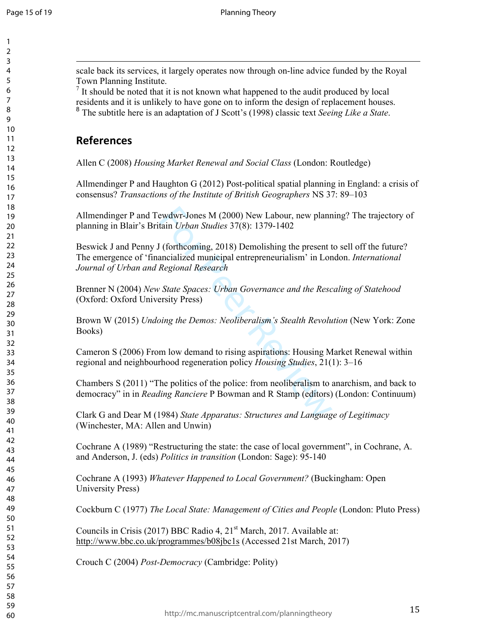| 1<br>$\overline{2}$<br>3    |  |
|-----------------------------|--|
| 4<br>5                      |  |
| 6<br>7<br>8                 |  |
| 9<br>$\overline{10}$        |  |
| 11<br>$\overline{12}$       |  |
| 13<br>$\overline{14}$       |  |
| 15<br>16                    |  |
| $\overline{17}$<br>18       |  |
| 19<br>20<br>$\overline{21}$ |  |
| $\overline{22}$<br>23       |  |
| 24<br>25                    |  |
| 26<br>27                    |  |
| 28<br>29                    |  |
| 30<br>31                    |  |
| 32<br>33<br>34              |  |
| 35<br>36                    |  |
| 37<br>R۶                    |  |
| 39<br>40                    |  |
| 41<br>42                    |  |
| 43<br>44                    |  |
| 45<br>46<br>47              |  |
| 48<br>49                    |  |
| 50<br>51                    |  |
| 52<br>53                    |  |
| 54<br>55                    |  |
| 56<br>57                    |  |
| 58<br>59                    |  |

scale back its services, it largely operates now through on-line advice funded by the Royal Town Planning Institute.

 $\frac{1}{1}$  It should be noted that it is not known what happened to the audit produced by local residents and it is unlikely to have gone on to inform the design of replacement houses.

The subtitle here is an adaptation of J Scott's (1998) classic text *Seeing Like a State*.

# **References**

 $\overline{a}$ 

Allen C (2008) *Housing Market Renewal and Social Class* (London: Routledge)

Allmendinger P and Haughton G (2012) Post-political spatial planning in England: a crisis of consensus? *Transactions of the Institute of British Geographers* NS 37: 89–103

Allmendinger P and Tewdwr-Jones M (2000) New Labour, new planning? The trajectory of planning in Blair's Britain *Urban Studies* 37(8): 1379-1402

ewdwr-Jones M (2000) New Labour, new plann<br>tain *Urban Studies* 37(8): 1379-1402<br>(forthcoming, 2018) Demolishing the present t<br>ancialized municipal entrepreneurialism' in Lon<br>*Regional Research*<br>State Spaces: *Urban Govern* Beswick J and Penny J (forthcoming, 2018) Demolishing the present to sell off the future? The emergence of 'financialized municipal entrepreneurialism' in London. *International Journal of Urban and Regional Research* 

Brenner N (2004) *New State Spaces: Urban Governance and the Rescaling of Statehood* (Oxford: Oxford University Press)

Brown W (2015) *Undoing the Demos: Neoliberalism's Stealth Revolution* (New York: Zone Books)

Cameron S (2006) From low demand to rising aspirations: Housing Market Renewal within regional and neighbourhood regeneration policy *Housing Studies*, 21(1): 3–16

Chambers S (2011) "The politics of the police: from neoliberalism to anarchism, and back to democracy" in in *Reading Ranciere* P Bowman and R Stamp (editors) (London: Continuum)

Clark G and Dear M (1984) *State Apparatus: Structures and Language of Legitimacy* (Winchester, MA: Allen and Unwin)

Cochrane A (1989) "Restructuring the state: the case of local government", in Cochrane, A. and Anderson, J. (eds) *Politics in transition* (London: Sage): 95-140

Cochrane A (1993) *Whatever Happened to Local Government?* (Buckingham: Open University Press)

Cockburn C (1977) *The Local State: Management of Cities and People* (London: Pluto Press)

Councils in Crisis (2017) BBC Radio 4,  $21<sup>st</sup>$  March, 2017. Available at: http://www.bbc.co.uk/programmes/b08jbc1s (Accessed 21st March, 2017)

Crouch C (2004) *Post-Democracy* (Cambridge: Polity)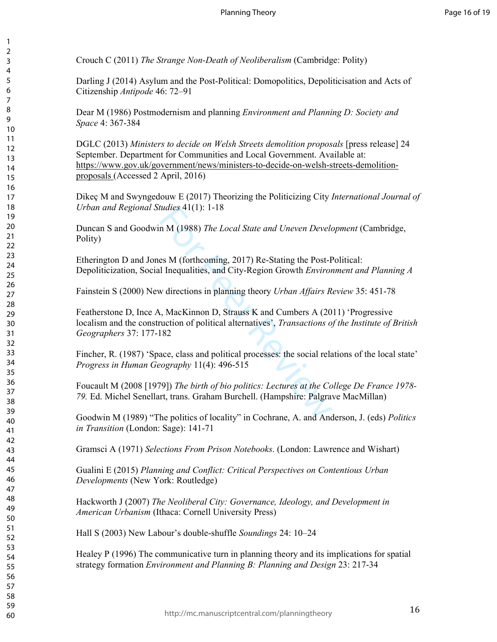Crouch C (2011) *The Strange Non-Death of Neoliberalism* (Cambridge: Polity)

Darling J (2014) Asylum and the Post-Political: Domopolitics, Depoliticisation and Acts of Citizenship *Antipode* 46: 72–91

Dear M (1986) Postmodernism and planning *Environment and Planning D: Society and Space* 4: 367-384

DGLC (2013) *Ministers to decide on Welsh Streets demolition proposals* [press release] 24 September. Department for Communities and Local Government. Available at: https://www.gov.uk/government/news/ministers-to-decide-on-welsh-streets-demolitionproposals (Accessed 2 April, 2016)

Dikeç M and Swyngedouw E (2017) Theorizing the Politicizing City *International Journal of Urban and Regional Studies* 41(1): 1-18

Duncan S and Goodwin M (1988) *The Local State and Uneven Development* (Cambridge, Polity)

Etherington D and Jones M (forthcoming, 2017) Re-Stating the Post-Political: Depoliticization, Social Inequalities, and City-Region Growth *Environment and Planning A*

Fainstein S (2000) New directions in planning theory *Urban Affairs Review* 35: 451-78

tudies 41(1): 1-18<br>
n M (1988) *The Local State and Uneven Develo*<br>
es M (forthcoming, 2017) Re-Stating the Post-F<br>
Il Inequalities, and City-Region Growth *Enviror*<br>
w directions in planning theory *Urban Affairs R*.<br>
1, Featherstone D, Ince A, MacKinnon D, Strauss K and Cumbers A (2011) 'Progressive localism and the construction of political alternatives', *Transactions of the Institute of British Geographers* 37: 177-182

Fincher, R. (1987) 'Space, class and political processes: the social relations of the local state' *Progress in Human Geography* 11(4): 496-515

Foucault M (2008 [1979]) *The birth of bio politics: Lectures at the College De France 1978- 79.* Ed. Michel Senellart, trans. Graham Burchell. (Hampshire: Palgrave MacMillan)

Goodwin M (1989) "The politics of locality" in Cochrane, A. and Anderson, J. (eds) *Politics in Transition* (London: Sage): 141-71

Gramsci A (1971) *Selections From Prison Notebooks*. (London: Lawrence and Wishart)

Gualini E (2015) *Planning and Conflict: Critical Perspectives on Contentious Urban Developments* (New York: Routledge)

Hackworth J (2007) *The Neoliberal City: Governance, Ideology, and Development in American Urbanism* (Ithaca: Cornell University Press)

Hall S (2003) New Labour's double-shuffle *Soundings* 24: 10–24

Healey P (1996) The communicative turn in planning theory and its implications for spatial strategy formation *Environment and Planning B: Planning and Design* 23: 217-34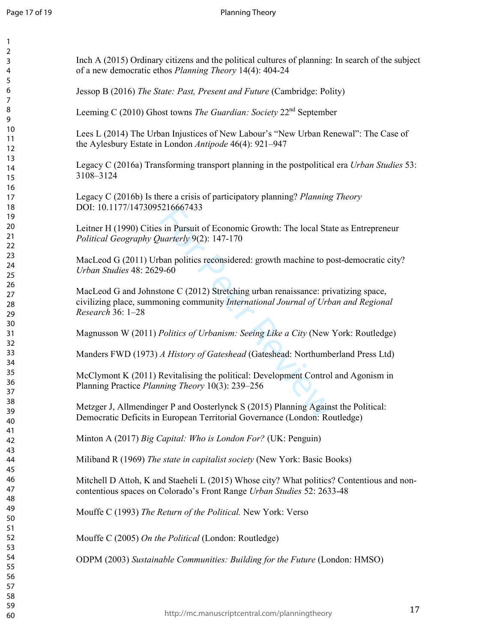| Inch A (2015) Ordinary citizens and the political cultures of planning: In search of the subject<br>of a new democratic ethos Planning Theory 14(4): 404-24                                 |
|---------------------------------------------------------------------------------------------------------------------------------------------------------------------------------------------|
| Jessop B (2016) The State: Past, Present and Future (Cambridge: Polity)                                                                                                                     |
| Leeming C (2010) Ghost towns The Guardian: Society 22 <sup>nd</sup> September                                                                                                               |
| Lees L (2014) The Urban Injustices of New Labour's "New Urban Renewal": The Case of<br>the Aylesbury Estate in London Antipode 46(4): 921-947                                               |
| Legacy C (2016a) Transforming transport planning in the postpolitical era Urban Studies 53:<br>3108-3124                                                                                    |
| Legacy C (2016b) Is there a crisis of participatory planning? Planning Theory<br>DOI: 10.1177/1473095216667433                                                                              |
| Leitner H (1990) Cities in Pursuit of Economic Growth: The local State as Entrepreneur<br>Political Geography Quarterly 9(2): 147-170                                                       |
| MacLeod G (2011) Urban politics reconsidered: growth machine to post-democratic city?<br>Urban Studies 48: 2629-60                                                                          |
| MacLeod G and Johnstone C (2012) Stretching urban renaissance: privatizing space,<br>civilizing place, summoning community International Journal of Urban and Regional<br>Research 36: 1-28 |
| Magnusson W (2011) Politics of Urbanism: Seeing Like a City (New York: Routledge)                                                                                                           |
| Manders FWD (1973) A History of Gateshead (Gateshead: Northumberland Press Ltd)                                                                                                             |
| McClymont K (2011) Revitalising the political: Development Control and Agonism in<br>Planning Practice Planning Theory 10(3): 239–256                                                       |
| Metzger J, Allmendinger P and Oosterlynck S (2015) Planning Against the Political:<br>Democratic Deficits in European Territorial Governance (London: Routledge)                            |
| Minton A (2017) Big Capital: Who is London For? (UK: Penguin)                                                                                                                               |
| Miliband R (1969) The state in capitalist society (New York: Basic Books)                                                                                                                   |
| Mitchell D Attoh, K and Staeheli L (2015) Whose city? What politics? Contentious and non-<br>contentious spaces on Colorado's Front Range Urban Studies 52: 2633-48                         |
| Mouffe C (1993) The Return of the Political. New York: Verso                                                                                                                                |
| Mouffe C (2005) On the Political (London: Routledge)                                                                                                                                        |
| ODPM (2003) Sustainable Communities: Building for the Future (London: HMSO)                                                                                                                 |
|                                                                                                                                                                                             |
|                                                                                                                                                                                             |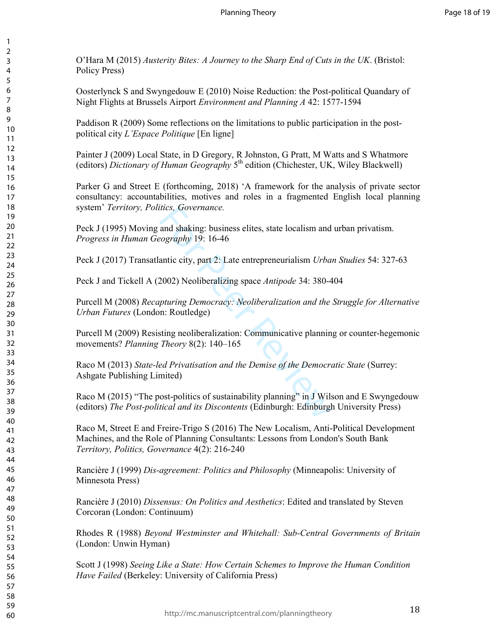O'Hara M (2015) *Austerity Bites: A Journey to the Sharp End of Cuts in the UK*. (Bristol: Policy Press)

Oosterlynck S and Swyngedouw E (2010) Noise Reduction: the Post-political Quandary of Night Flights at Brussels Airport *Environment and Planning A* 42: 1577-1594

Paddison R (2009) Some reflections on the limitations to public participation in the postpolitical city *L'Espace Politique* [En ligne]

Painter J (2009) Local State, in D Gregory, R Johnston, G Pratt, M Watts and S Whatmore (editors) *Dictionary of Human Geography* 5<sup>th</sup> edition (Chichester, UK, Wiley Blackwell)

Parker G and Street E (forthcoming, 2018) 'A framework for the analysis of private sector consultancy: accountabilities, motives and roles in a fragmented English local planning system' *Territory, Politics, Governance.*

thes, Governance.<br>
and shaking: business elites, state localism and<br>
eography 19: 16-46<br>
antic city, part 2: Late entrepreneurialism Urban<br>
2002) Neoliberalizing space Antipode 34: 380-4<br>
pturing Democracy: Neoliberalizati Peck J (1995) Moving and shaking: business elites, state localism and urban privatism. *Progress in Human Geography* 19: 16-46

Peck J (2017) Transatlantic city, part 2: Late entrepreneurialism *Urban Studies* 54: 327-63

Peck J and Tickell A (2002) Neoliberalizing space *Antipode* 34: 380-404

Purcell M (2008) *Recapturing Democracy: Neoliberalization and the Struggle for Alternative Urban Futures* (London: Routledge)

Purcell M (2009) Resisting neoliberalization: Communicative planning or counter-hegemonic movements? *Planning Theory* 8(2): 140–165

Raco M (2013) *State-led Privatisation and the Demise of the Democratic State* (Surrey: Ashgate Publishing Limited)

Raco M (2015) "The post-politics of sustainability planning" in J Wilson and E Swyngedouw (editors) *The Post-political and its Discontents* (Edinburgh: Edinburgh University Press)

Raco M, Street E and Freire-Trigo S (2016) The New Localism, Anti-Political Development Machines, and the Role of Planning Consultants: Lessons from London's South Bank *Territory, Politics, Governance* 4(2): 216-240

Rancière J (1999) *Dis-agreement: Politics and Philosophy* (Minneapolis: University of Minnesota Press)

Rancière J (2010) *Dissensus: On Politics and Aesthetics*: Edited and translated by Steven Corcoran (London: Continuum)

Rhodes R (1988) *Beyond Westminster and Whitehall: Sub-Central Governments of Britain*  (London: Unwin Hyman)

Scott J (1998) *Seeing Like a State: How Certain Schemes to Improve the Human Condition Have Failed* (Berkeley: University of California Press)